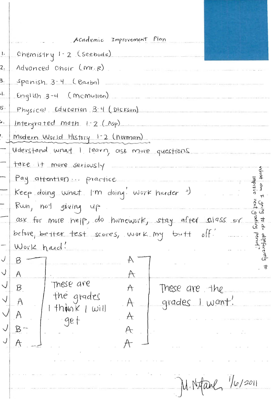|                    | Academic Improvement Plan                                         |
|--------------------|-------------------------------------------------------------------|
| $\cdot$            | Chemistry 1-2 (seebode)                                           |
| $\mathsf{Z}_{\pm}$ | Advanced Choir (Mr.R)                                             |
| $\mathbf{3}$       | Spanish 3.4 (Barba)                                               |
| $\cdot$            | $[length3 - 4]$ $(memuren)$                                       |
| $5 -$              | Physical Education 3-4 (DICESON)                                  |
| . ما               | Intergrated math $1 - 2$ (Asp)                                    |
|                    | Modern World History 1-2 (norman)                                 |
|                    | Uderstand what I learn, ask more questions                        |
|                    | take it more seriously                                            |
|                    | Mat<br>Pay attention  practice                                    |
|                    | mprovo<br>Keep doing what I'm doing. Work harder =)               |
|                    | Song to do<br>Rwn, not giving up                                  |
|                    | ask for more help, do homework, stay after $\mathfrak{sl}$ ass or |
|                    | before, beffer test scores, work my butt off.                     |
|                    | Work hard!                                                        |
|                    | $B_{-}$<br>, त                                                    |
|                    | A<br>A<br>These are                                               |
|                    | Β<br>A<br>These are the<br>the grades                             |
|                    | grades I want!<br>A<br>$th$ ink   will                            |
|                    | A.<br>get                                                         |
|                    | $\c{B}$ –<br>A                                                    |
|                    | A<br>A                                                            |
|                    |                                                                   |
|                    |                                                                   |
|                    | $M$ . Nifanl, $\frac{1}{6}$ /2011                                 |